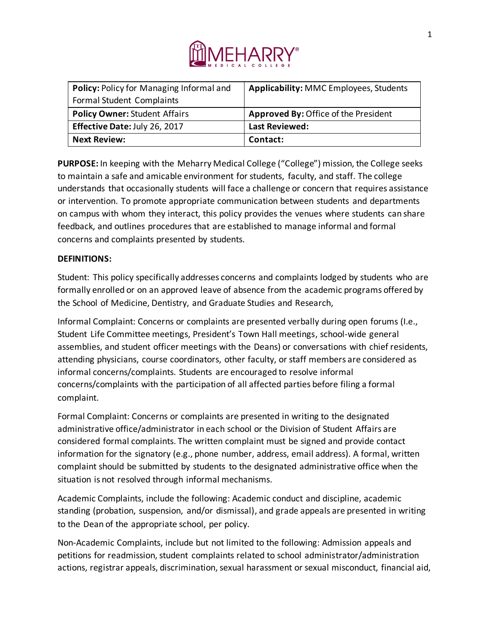

| Policy: Policy for Managing Informal and | <b>Applicability: MMC Employees, Students</b> |
|------------------------------------------|-----------------------------------------------|
| Formal Student Complaints                |                                               |
| <b>Policy Owner: Student Affairs</b>     | Approved By: Office of the President          |
| Effective Date: July 26, 2017            | <b>Last Reviewed:</b>                         |
| <b>Next Review:</b>                      | Contact:                                      |

**PURPOSE:** In keeping with the Meharry Medical College ("College") mission, the College seeks to maintain a safe and amicable environment for students, faculty, and staff. The college understands that occasionally students will face a challenge or concern that requires assistance or intervention. To promote appropriate communication between students and departments on campus with whom they interact, this policy provides the venues where students can share feedback, and outlines procedures that are established to manage informal and formal concerns and complaints presented by students.

## **DEFINITIONS:**

Student: This policy specifically addresses concerns and complaints lodged by students who are formally enrolled or on an approved leave of absence from the academic programs offered by the School of Medicine, Dentistry, and Graduate Studies and Research,

Informal Complaint: Concerns or complaints are presented verbally during open forums (I.e., Student Life Committee meetings, President's Town Hall meetings, school-wide general assemblies, and student officer meetings with the Deans) or conversations with chief residents, attending physicians, course coordinators, other faculty, or staff members are considered as informal concerns/complaints. Students are encouraged to resolve informal concerns/complaints with the participation of all affected parties before filing a formal complaint.

Formal Complaint: Concerns or complaints are presented in writing to the designated administrative office/administrator in each school or the Division of Student Affairs are considered formal complaints. The written complaint must be signed and provide contact information for the signatory (e.g., phone number, address, email address). A formal, written complaint should be submitted by students to the designated administrative office when the situation is not resolved through informal mechanisms.

Academic Complaints, include the following: Academic conduct and discipline, academic standing (probation, suspension, and/or dismissal), and grade appeals are presented in writing to the Dean of the appropriate school, per policy.

Non-Academic Complaints, include but not limited to the following: Admission appeals and petitions for readmission, student complaints related to school administrator/administration actions, registrar appeals, discrimination, sexual harassment or sexual misconduct, financial aid,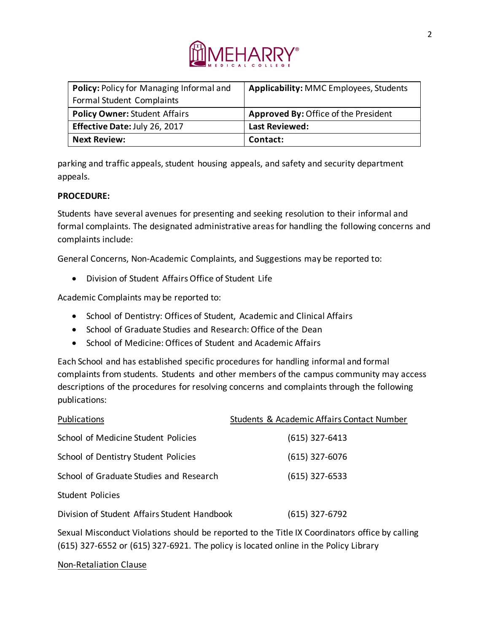

| Policy: Policy for Managing Informal and | <b>Applicability: MMC Employees, Students</b> |
|------------------------------------------|-----------------------------------------------|
| Formal Student Complaints                |                                               |
| <b>Policy Owner: Student Affairs</b>     | <b>Approved By: Office of the President</b>   |
| Effective Date: July 26, 2017            | <b>Last Reviewed:</b>                         |
| <b>Next Review:</b>                      | Contact:                                      |

parking and traffic appeals, student housing appeals, and safety and security department appeals.

## **PROCEDURE:**

Students have several avenues for presenting and seeking resolution to their informal and formal complaints. The designated administrative areas for handling the following concerns and complaints include:

General Concerns, Non-Academic Complaints, and Suggestions may be reported to:

• Division of Student Affairs Office of Student Life

Academic Complaints may be reported to:

- School of Dentistry: Offices of Student, Academic and Clinical Affairs
- School of Graduate Studies and Research: Office of the Dean
- School of Medicine: Offices of Student and Academic Affairs

Each School and has established specific procedures for handling informal and formal complaints from students. Students and other members of the campus community may access descriptions of the procedures for resolving concerns and complaints through the following publications:

| Publications                                 | Students & Academic Affairs Contact Number |
|----------------------------------------------|--------------------------------------------|
| School of Medicine Student Policies          | $(615)$ 327-6413                           |
| School of Dentistry Student Policies         | $(615)$ 327-6076                           |
| School of Graduate Studies and Research      | $(615)$ 327-6533                           |
| <b>Student Policies</b>                      |                                            |
| Division of Student Affairs Student Handbook | $(615)$ 327-6792                           |
|                                              |                                            |

Sexual Misconduct Violations should be reported to the Title IX Coordinators office by calling (615) 327-6552 or (615) 327-6921. The policy is located online in the Policy Library

Non-Retaliation Clause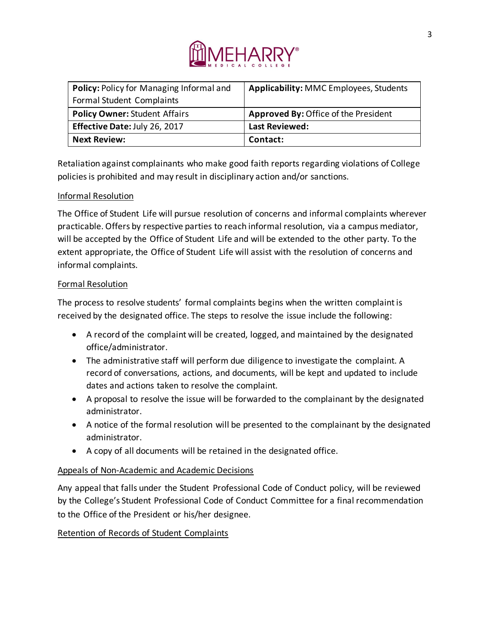

| Policy: Policy for Managing Informal and | <b>Applicability: MMC Employees, Students</b> |
|------------------------------------------|-----------------------------------------------|
| Formal Student Complaints                |                                               |
| <b>Policy Owner: Student Affairs</b>     | Approved By: Office of the President          |
| Effective Date: July 26, 2017            | <b>Last Reviewed:</b>                         |
| <b>Next Review:</b>                      | Contact:                                      |

Retaliation against complainants who make good faith reports regarding violations of College policies is prohibited and may result in disciplinary action and/or sanctions.

# Informal Resolution

The Office of Student Life will pursue resolution of concerns and informal complaints wherever practicable. Offers by respective parties to reach informal resolution, via a campus mediator, will be accepted by the Office of Student Life and will be extended to the other party. To the extent appropriate, the Office of Student Life will assist with the resolution of concerns and informal complaints.

## Formal Resolution

The process to resolve students' formal complaints begins when the written complaint is received by the designated office. The steps to resolve the issue include the following:

- A record of the complaint will be created, logged, and maintained by the designated office/administrator.
- The administrative staff will perform due diligence to investigate the complaint. A record of conversations, actions, and documents, will be kept and updated to include dates and actions taken to resolve the complaint.
- A proposal to resolve the issue will be forwarded to the complainant by the designated administrator.
- A notice of the formal resolution will be presented to the complainant by the designated administrator.
- A copy of all documents will be retained in the designated office.

# Appeals of Non-Academic and Academic Decisions

Any appeal that falls under the Student Professional Code of Conduct policy, will be reviewed by the College's Student Professional Code of Conduct Committee for a final recommendation to the Office of the President or his/her designee.

# Retention of Records of Student Complaints